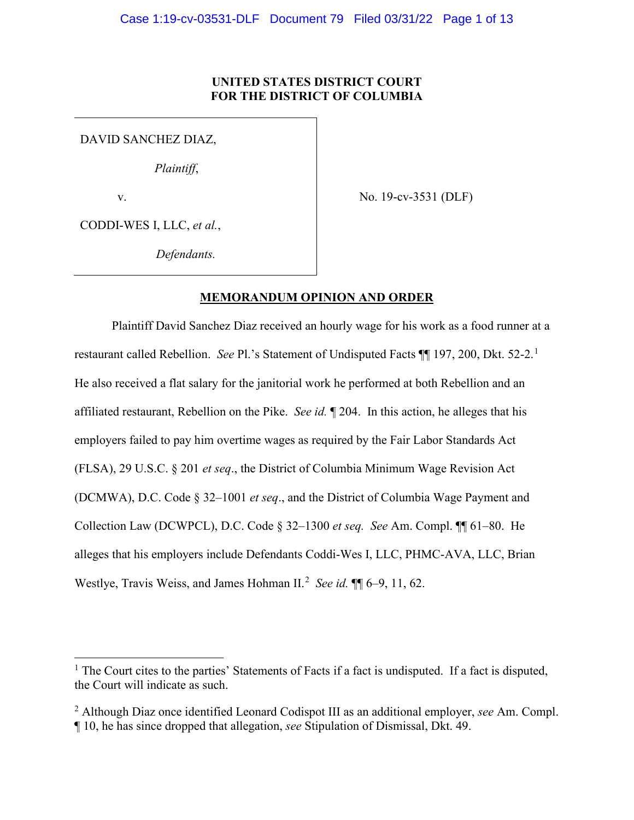## **UNITED STATES DISTRICT COURT FOR THE DISTRICT OF COLUMBIA**

DAVID SANCHEZ DIAZ,

*Plaintiff*,

v.

No. 19-cv-3531 (DLF)

CODDI-WES I, LLC, *et al.*,

*Defendants.* 

# **MEMORANDUM OPINION AND ORDER**

Plaintiff David Sanchez Diaz received an hourly wage for his work as a food runner at a restaurant called Rebellion. *See* Pl.'s Statement of Undisputed Facts ¶¶ 197, 200, Dkt. 52-2.<sup>1</sup> He also received a flat salary for the janitorial work he performed at both Rebellion and an affiliated restaurant, Rebellion on the Pike. *See id.* ¶ 204. In this action, he alleges that his employers failed to pay him overtime wages as required by the Fair Labor Standards Act (FLSA), 29 U.S.C. § 201 *et seq*., the District of Columbia Minimum Wage Revision Act (DCMWA), D.C. Code § 32–1001 *et seq*., and the District of Columbia Wage Payment and Collection Law (DCWPCL), D.C. Code § 32–1300 *et seq. See* Am. Compl. ¶¶ 61–80. He alleges that his employers include Defendants Coddi-Wes I, LLC, PHMC-AVA, LLC, Brian Westlye, Travis Weiss, and James Hohman II.<sup>2</sup> See id. **[1]** 6–9, 11, 62.

<sup>&</sup>lt;sup>1</sup> The Court cites to the parties' Statements of Facts if a fact is undisputed. If a fact is disputed, the Court will indicate as such.

<sup>2</sup> Although Diaz once identified Leonard Codispot III as an additional employer, *see* Am. Compl. ¶ 10, he has since dropped that allegation, *see* Stipulation of Dismissal, Dkt. 49.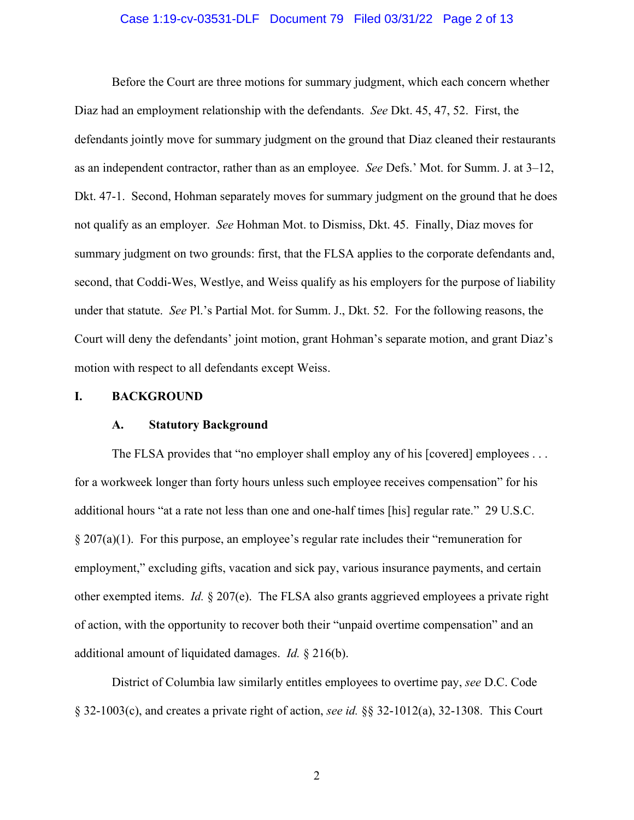### Case 1:19-cv-03531-DLF Document 79 Filed 03/31/22 Page 2 of 13

 Before the Court are three motions for summary judgment, which each concern whether Diaz had an employment relationship with the defendants. *See* Dkt. 45, 47, 52. First, the defendants jointly move for summary judgment on the ground that Diaz cleaned their restaurants as an independent contractor, rather than as an employee. *See* Defs.' Mot. for Summ. J. at 3–12, Dkt. 47-1. Second, Hohman separately moves for summary judgment on the ground that he does not qualify as an employer. *See* Hohman Mot. to Dismiss, Dkt. 45. Finally, Diaz moves for summary judgment on two grounds: first, that the FLSA applies to the corporate defendants and, second, that Coddi-Wes, Westlye, and Weiss qualify as his employers for the purpose of liability under that statute. *See* Pl.'s Partial Mot. for Summ. J., Dkt. 52. For the following reasons, the Court will deny the defendants' joint motion, grant Hohman's separate motion, and grant Diaz's motion with respect to all defendants except Weiss.

#### **I. BACKGROUND**

#### **A. Statutory Background**

The FLSA provides that "no employer shall employ any of his [covered] employees ... for a workweek longer than forty hours unless such employee receives compensation" for his additional hours "at a rate not less than one and one-half times [his] regular rate." 29 U.S.C. § 207(a)(1). For this purpose, an employee's regular rate includes their "remuneration for employment," excluding gifts, vacation and sick pay, various insurance payments, and certain other exempted items. *Id.* § 207(e). The FLSA also grants aggrieved employees a private right of action, with the opportunity to recover both their "unpaid overtime compensation" and an additional amount of liquidated damages. *Id.* § 216(b).

District of Columbia law similarly entitles employees to overtime pay, *see* D.C. Code § 32-1003(c), and creates a private right of action, *see id.* §§ 32-1012(a), 32-1308. This Court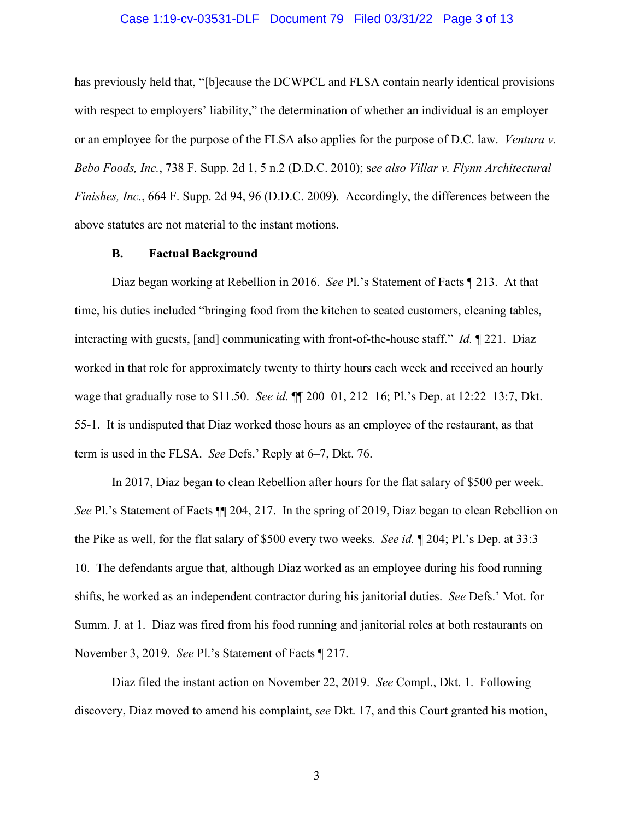#### Case 1:19-cv-03531-DLF Document 79 Filed 03/31/22 Page 3 of 13

has previously held that, "[b]ecause the DCWPCL and FLSA contain nearly identical provisions with respect to employers' liability," the determination of whether an individual is an employer or an employee for the purpose of the FLSA also applies for the purpose of D.C. law. *Ventura v. Bebo Foods, Inc.*, 738 F. Supp. 2d 1, 5 n.2 (D.D.C. 2010); s*ee also Villar v. Flynn Architectural Finishes, Inc.*, 664 F. Supp. 2d 94, 96 (D.D.C. 2009). Accordingly, the differences between the above statutes are not material to the instant motions.

#### **B. Factual Background**

Diaz began working at Rebellion in 2016. *See* Pl.'s Statement of Facts ¶ 213. At that time, his duties included "bringing food from the kitchen to seated customers, cleaning tables, interacting with guests, [and] communicating with front-of-the-house staff." *Id.* ¶ 221. Diaz worked in that role for approximately twenty to thirty hours each week and received an hourly wage that gradually rose to \$11.50. *See id.* ¶¶ 200–01, 212–16; Pl.'s Dep. at 12:22–13:7, Dkt. 55-1. It is undisputed that Diaz worked those hours as an employee of the restaurant, as that term is used in the FLSA. *See* Defs.' Reply at 6–7, Dkt. 76.

In 2017, Diaz began to clean Rebellion after hours for the flat salary of \$500 per week. *See* Pl.'s Statement of Facts  $\P$  204, 217. In the spring of 2019, Diaz began to clean Rebellion on the Pike as well, for the flat salary of \$500 every two weeks. *See id.* ¶ 204; Pl.'s Dep. at 33:3– 10. The defendants argue that, although Diaz worked as an employee during his food running shifts, he worked as an independent contractor during his janitorial duties. *See* Defs.' Mot. for Summ. J. at 1. Diaz was fired from his food running and janitorial roles at both restaurants on November 3, 2019. *See* Pl.'s Statement of Facts ¶ 217.

Diaz filed the instant action on November 22, 2019. *See* Compl., Dkt. 1. Following discovery, Diaz moved to amend his complaint, *see* Dkt. 17, and this Court granted his motion,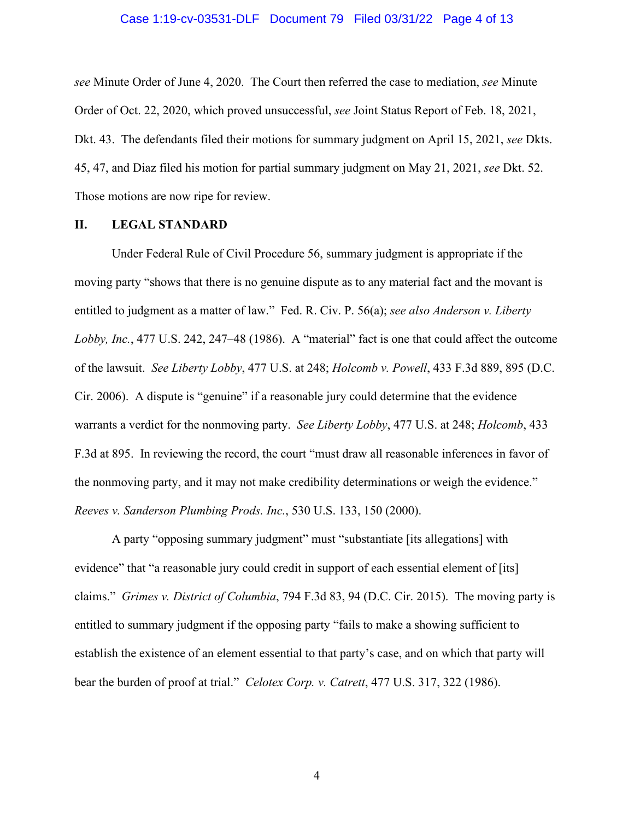#### Case 1:19-cv-03531-DLF Document 79 Filed 03/31/22 Page 4 of 13

*see* Minute Order of June 4, 2020. The Court then referred the case to mediation, *see* Minute Order of Oct. 22, 2020, which proved unsuccessful, *see* Joint Status Report of Feb. 18, 2021, Dkt. 43. The defendants filed their motions for summary judgment on April 15, 2021, *see* Dkts. 45, 47, and Diaz filed his motion for partial summary judgment on May 21, 2021, *see* Dkt. 52. Those motions are now ripe for review.

### **II. LEGAL STANDARD**

Under Federal Rule of Civil Procedure 56, summary judgment is appropriate if the moving party "shows that there is no genuine dispute as to any material fact and the movant is entitled to judgment as a matter of law." Fed. R. Civ. P. 56(a); *see also Anderson v. Liberty Lobby, Inc.*, 477 U.S. 242, 247–48 (1986). A "material" fact is one that could affect the outcome of the lawsuit. *See Liberty Lobby*, 477 U.S. at 248; *Holcomb v. Powell*, 433 F.3d 889, 895 (D.C. Cir. 2006). A dispute is "genuine" if a reasonable jury could determine that the evidence warrants a verdict for the nonmoving party. *See Liberty Lobby*, 477 U.S. at 248; *Holcomb*, 433 F.3d at 895. In reviewing the record, the court "must draw all reasonable inferences in favor of the nonmoving party, and it may not make credibility determinations or weigh the evidence." *Reeves v. Sanderson Plumbing Prods. Inc.*, 530 U.S. 133, 150 (2000).

A party "opposing summary judgment" must "substantiate [its allegations] with evidence" that "a reasonable jury could credit in support of each essential element of [its] claims." *Grimes v. District of Columbia*, 794 F.3d 83, 94 (D.C. Cir. 2015). The moving party is entitled to summary judgment if the opposing party "fails to make a showing sufficient to establish the existence of an element essential to that party's case, and on which that party will bear the burden of proof at trial." *Celotex Corp. v. Catrett*, 477 U.S. 317, 322 (1986).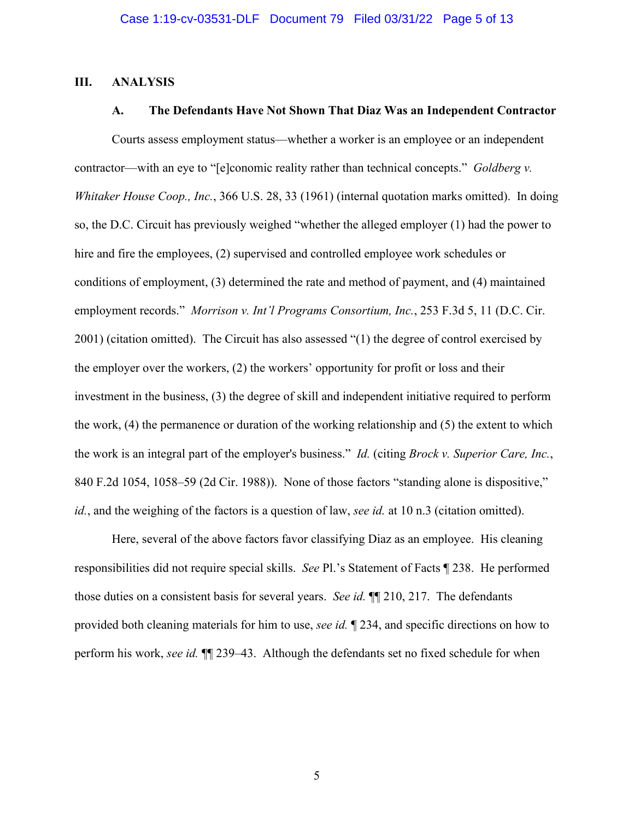## **III. ANALYSIS**

## **A. The Defendants Have Not Shown That Diaz Was an Independent Contractor**

Courts assess employment status—whether a worker is an employee or an independent contractor—with an eye to "[e]conomic reality rather than technical concepts." *Goldberg v. Whitaker House Coop., Inc.*, 366 U.S. 28, 33 (1961) (internal quotation marks omitted). In doing so, the D.C. Circuit has previously weighed "whether the alleged employer (1) had the power to hire and fire the employees, (2) supervised and controlled employee work schedules or conditions of employment, (3) determined the rate and method of payment, and (4) maintained employment records." *Morrison v. Int'l Programs Consortium, Inc.*, 253 F.3d 5, 11 (D.C. Cir. 2001) (citation omitted). The Circuit has also assessed "(1) the degree of control exercised by the employer over the workers, (2) the workers' opportunity for profit or loss and their investment in the business, (3) the degree of skill and independent initiative required to perform the work, (4) the permanence or duration of the working relationship and (5) the extent to which the work is an integral part of the employer's business." *Id.* (citing *Brock v. Superior Care, Inc.*, 840 F.2d 1054, 1058–59 (2d Cir. 1988)). None of those factors "standing alone is dispositive," *id.*, and the weighing of the factors is a question of law, *see id.* at 10 n.3 (citation omitted).

Here, several of the above factors favor classifying Diaz as an employee. His cleaning responsibilities did not require special skills. *See* Pl.'s Statement of Facts ¶ 238. He performed those duties on a consistent basis for several years. *See id.* ¶¶ 210, 217. The defendants provided both cleaning materials for him to use, *see id.* ¶ 234, and specific directions on how to perform his work, *see id.* ¶¶ 239–43. Although the defendants set no fixed schedule for when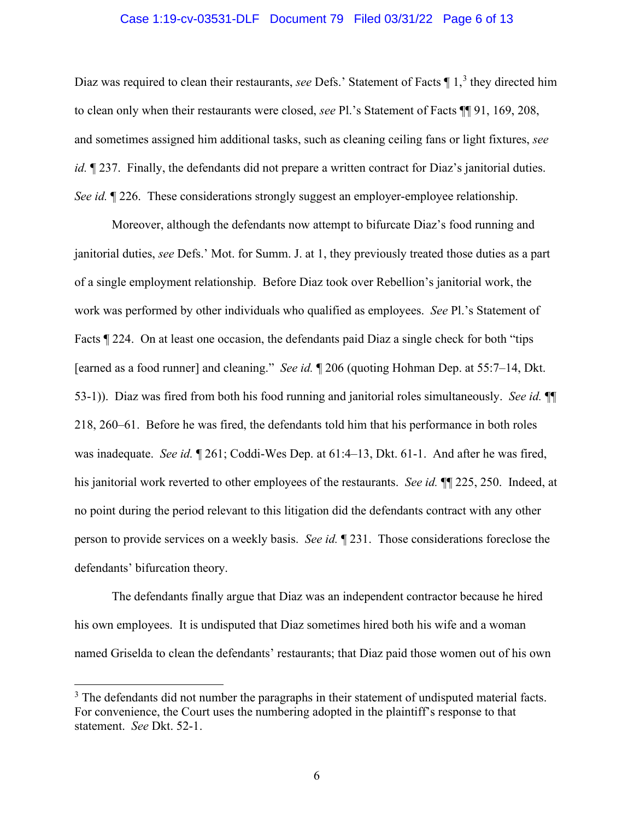### Case 1:19-cv-03531-DLF Document 79 Filed 03/31/22 Page 6 of 13

Diaz was required to clean their restaurants, *see* Defs.' Statement of Facts ¶ 1, <sup>3</sup> they directed him to clean only when their restaurants were closed, *see* Pl.'s Statement of Facts ¶¶ 91, 169, 208, and sometimes assigned him additional tasks, such as cleaning ceiling fans or light fixtures, *see id.*  $\sqrt{237}$ . Finally, the defendants did not prepare a written contract for Diaz's janitorial duties. *See id.*  $\sqrt{226}$ . These considerations strongly suggest an employer-employee relationship.

Moreover, although the defendants now attempt to bifurcate Diaz's food running and janitorial duties, *see* Defs.' Mot. for Summ. J. at 1, they previously treated those duties as a part of a single employment relationship. Before Diaz took over Rebellion's janitorial work, the work was performed by other individuals who qualified as employees. *See* Pl.'s Statement of Facts ¶ 224. On at least one occasion, the defendants paid Diaz a single check for both "tips [earned as a food runner] and cleaning." *See id.* ¶ 206 (quoting Hohman Dep. at 55:7–14, Dkt. 53-1)). Diaz was fired from both his food running and janitorial roles simultaneously. *See id.* ¶¶ 218, 260–61. Before he was fired, the defendants told him that his performance in both roles was inadequate. *See id.* ¶ 261; Coddi-Wes Dep. at 61:4–13, Dkt. 61-1. And after he was fired, his janitorial work reverted to other employees of the restaurants. *See id.* ¶¶ 225, 250. Indeed, at no point during the period relevant to this litigation did the defendants contract with any other person to provide services on a weekly basis. *See id.* ¶ 231. Those considerations foreclose the defendants' bifurcation theory.

The defendants finally argue that Diaz was an independent contractor because he hired his own employees. It is undisputed that Diaz sometimes hired both his wife and a woman named Griselda to clean the defendants' restaurants; that Diaz paid those women out of his own

 $3$  The defendants did not number the paragraphs in their statement of undisputed material facts. For convenience, the Court uses the numbering adopted in the plaintiff's response to that statement. *See* Dkt. 52-1.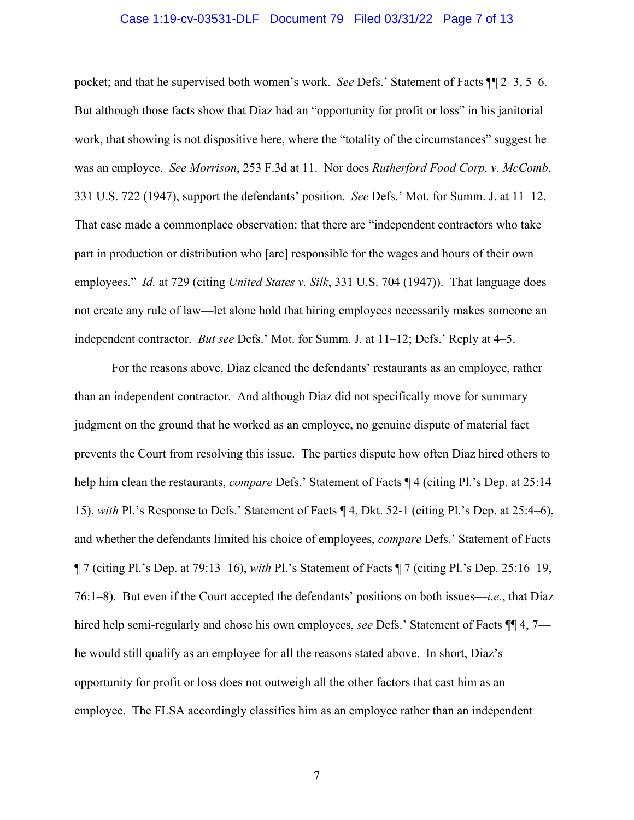### Case 1:19-cv-03531-DLF Document 79 Filed 03/31/22 Page 7 of 13

pocket; and that he supervised both women's work. *See* Defs.' Statement of Facts ¶¶ 2–3, 5–6. But although those facts show that Diaz had an "opportunity for profit or loss" in his janitorial work, that showing is not dispositive here, where the "totality of the circumstances" suggest he was an employee. *See Morrison*, 253 F.3d at 11. Nor does *Rutherford Food Corp. v. McComb*, 331 U.S. 722 (1947), support the defendants' position. *See* Defs.' Mot. for Summ. J. at 11–12. That case made a commonplace observation: that there are "independent contractors who take part in production or distribution who [are] responsible for the wages and hours of their own employees." *Id.* at 729 (citing *United States v. Silk*, 331 U.S. 704 (1947)). That language does not create any rule of law—let alone hold that hiring employees necessarily makes someone an independent contractor. *But see* Defs.' Mot. for Summ. J. at 11–12; Defs.' Reply at 4–5.

For the reasons above, Diaz cleaned the defendants' restaurants as an employee, rather than an independent contractor. And although Diaz did not specifically move for summary judgment on the ground that he worked as an employee, no genuine dispute of material fact prevents the Court from resolving this issue. The parties dispute how often Diaz hired others to help him clean the restaurants, *compare* Defs.' Statement of Facts ¶ 4 (citing Pl.'s Dep. at 25:14– 15), *with* Pl.'s Response to Defs.' Statement of Facts ¶ 4, Dkt. 52-1 (citing Pl.'s Dep. at 25:4–6), and whether the defendants limited his choice of employees, *compare* Defs.' Statement of Facts ¶ 7 (citing Pl.'s Dep. at 79:13–16), *with* Pl.'s Statement of Facts ¶ 7 (citing Pl.'s Dep. 25:16–19, 76:1–8). But even if the Court accepted the defendants' positions on both issues—*i.e.*, that Diaz hired help semi-regularly and chose his own employees, *see* Defs.' Statement of Facts ¶¶ 4, 7 he would still qualify as an employee for all the reasons stated above. In short, Diaz's opportunity for profit or loss does not outweigh all the other factors that cast him as an employee. The FLSA accordingly classifies him as an employee rather than an independent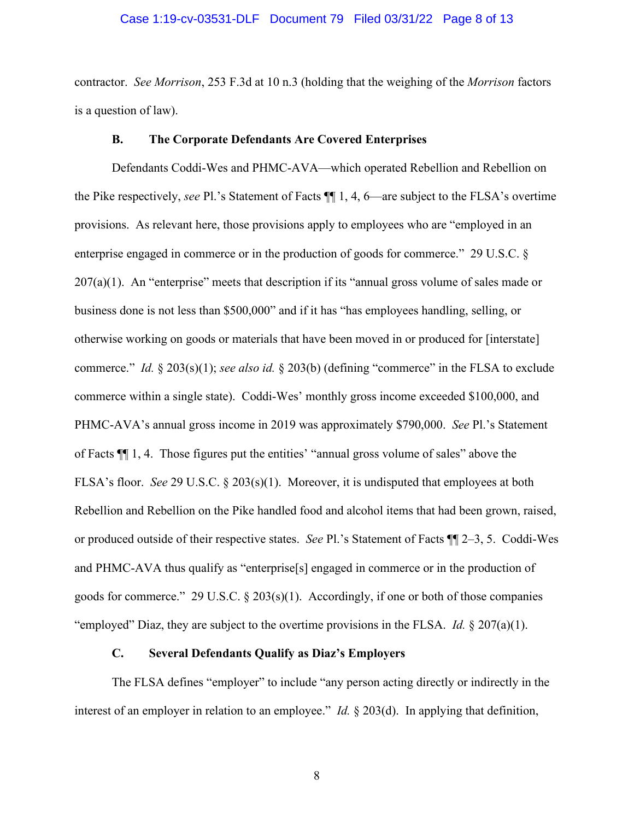#### Case 1:19-cv-03531-DLF Document 79 Filed 03/31/22 Page 8 of 13

contractor. *See Morrison*, 253 F.3d at 10 n.3 (holding that the weighing of the *Morrison* factors is a question of law).

#### **B. The Corporate Defendants Are Covered Enterprises**

Defendants Coddi-Wes and PHMC-AVA—which operated Rebellion and Rebellion on the Pike respectively, *see* Pl.'s Statement of Facts ¶¶ 1, 4, 6—are subject to the FLSA's overtime provisions. As relevant here, those provisions apply to employees who are "employed in an enterprise engaged in commerce or in the production of goods for commerce." 29 U.S.C. §  $207(a)(1)$ . An "enterprise" meets that description if its "annual gross volume of sales made or business done is not less than \$500,000" and if it has "has employees handling, selling, or otherwise working on goods or materials that have been moved in or produced for [interstate] commerce." *Id.* § 203(s)(1); *see also id.* § 203(b) (defining "commerce" in the FLSA to exclude commerce within a single state). Coddi-Wes' monthly gross income exceeded \$100,000, and PHMC-AVA's annual gross income in 2019 was approximately \$790,000. *See* Pl.'s Statement of Facts ¶¶ 1, 4. Those figures put the entities' "annual gross volume of sales" above the FLSA's floor. *See* 29 U.S.C. § 203(s)(1). Moreover, it is undisputed that employees at both Rebellion and Rebellion on the Pike handled food and alcohol items that had been grown, raised, or produced outside of their respective states. *See* Pl.'s Statement of Facts ¶¶ 2–3, 5. Coddi-Wes and PHMC-AVA thus qualify as "enterprise[s] engaged in commerce or in the production of goods for commerce." 29 U.S.C. § 203(s)(1). Accordingly, if one or both of those companies "employed" Diaz, they are subject to the overtime provisions in the FLSA. *Id.* § 207(a)(1).

## **C. Several Defendants Qualify as Diaz's Employers**

The FLSA defines "employer" to include "any person acting directly or indirectly in the interest of an employer in relation to an employee." *Id.* § 203(d). In applying that definition,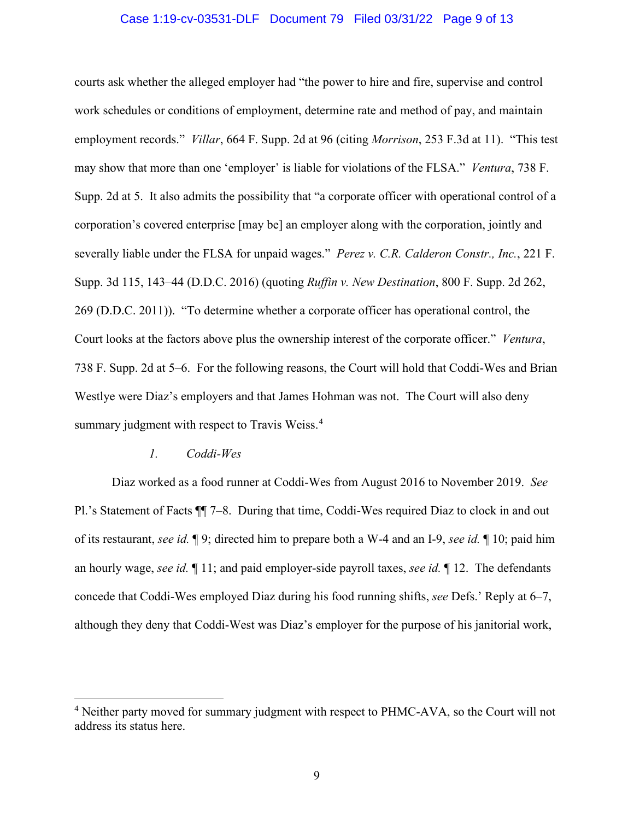### Case 1:19-cv-03531-DLF Document 79 Filed 03/31/22 Page 9 of 13

courts ask whether the alleged employer had "the power to hire and fire, supervise and control work schedules or conditions of employment, determine rate and method of pay, and maintain employment records." *Villar*, 664 F. Supp. 2d at 96 (citing *Morrison*, 253 F.3d at 11). "This test may show that more than one 'employer' is liable for violations of the FLSA." *Ventura*, 738 F. Supp. 2d at 5. It also admits the possibility that "a corporate officer with operational control of a corporation's covered enterprise [may be] an employer along with the corporation, jointly and severally liable under the FLSA for unpaid wages." *Perez v. C.R. Calderon Constr., Inc.*, 221 F. Supp. 3d 115, 143–44 (D.D.C. 2016) (quoting *Ruffin v. New Destination*, 800 F. Supp. 2d 262, 269 (D.D.C. 2011)). "To determine whether a corporate officer has operational control, the Court looks at the factors above plus the ownership interest of the corporate officer." *Ventura*, 738 F. Supp. 2d at 5–6. For the following reasons, the Court will hold that Coddi-Wes and Brian Westlye were Diaz's employers and that James Hohman was not. The Court will also deny summary judgment with respect to Travis Weiss.<sup>4</sup>

## *1. Coddi-Wes*

Diaz worked as a food runner at Coddi-Wes from August 2016 to November 2019. *See* Pl.'s Statement of Facts ¶¶ 7–8. During that time, Coddi-Wes required Diaz to clock in and out of its restaurant, *see id.* ¶ 9; directed him to prepare both a W-4 and an I-9, *see id.* ¶ 10; paid him an hourly wage, *see id.* ¶ 11; and paid employer-side payroll taxes, *see id.* ¶ 12. The defendants concede that Coddi-Wes employed Diaz during his food running shifts, *see* Defs.' Reply at 6–7, although they deny that Coddi-West was Diaz's employer for the purpose of his janitorial work,

<sup>&</sup>lt;sup>4</sup> Neither party moved for summary judgment with respect to PHMC-AVA, so the Court will not address its status here.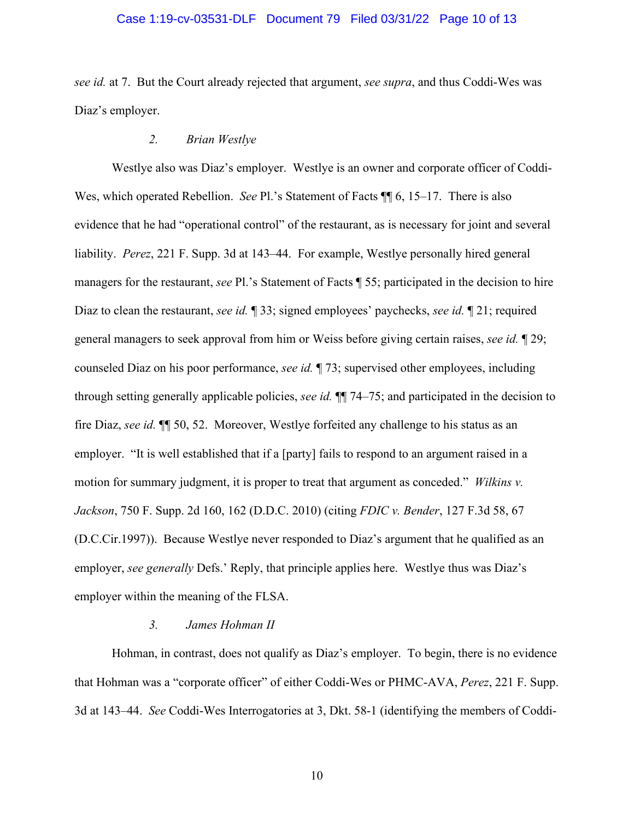### Case 1:19-cv-03531-DLF Document 79 Filed 03/31/22 Page 10 of 13

*see id.* at 7. But the Court already rejected that argument, *see supra*, and thus Coddi-Wes was Diaz's employer.

## *2. Brian Westlye*

Westlye also was Diaz's employer. Westlye is an owner and corporate officer of Coddi-Wes, which operated Rebellion. *See* Pl.'s Statement of Facts ¶¶ 6, 15–17. There is also evidence that he had "operational control" of the restaurant, as is necessary for joint and several liability. *Perez*, 221 F. Supp. 3d at 143–44. For example, Westlye personally hired general managers for the restaurant, *see* Pl.'s Statement of Facts ¶ 55; participated in the decision to hire Diaz to clean the restaurant, *see id.* ¶ 33; signed employees' paychecks, *see id.* ¶ 21; required general managers to seek approval from him or Weiss before giving certain raises, *see id.* ¶ 29; counseled Diaz on his poor performance, *see id.* ¶ 73; supervised other employees, including through setting generally applicable policies, *see id.* ¶¶ 74–75; and participated in the decision to fire Diaz, *see id.* ¶¶ 50, 52. Moreover, Westlye forfeited any challenge to his status as an employer. "It is well established that if a [party] fails to respond to an argument raised in a motion for summary judgment, it is proper to treat that argument as conceded." *Wilkins v. Jackson*, 750 F. Supp. 2d 160, 162 (D.D.C. 2010) (citing *FDIC v. Bender*, 127 F.3d 58, 67 (D.C.Cir.1997)). Because Westlye never responded to Diaz's argument that he qualified as an employer, *see generally* Defs.' Reply, that principle applies here. Westlye thus was Diaz's employer within the meaning of the FLSA.

### *3. James Hohman II*

Hohman, in contrast, does not qualify as Diaz's employer. To begin, there is no evidence that Hohman was a "corporate officer" of either Coddi-Wes or PHMC-AVA, *Perez*, 221 F. Supp. 3d at 143–44. *See* Coddi-Wes Interrogatories at 3, Dkt. 58-1 (identifying the members of Coddi-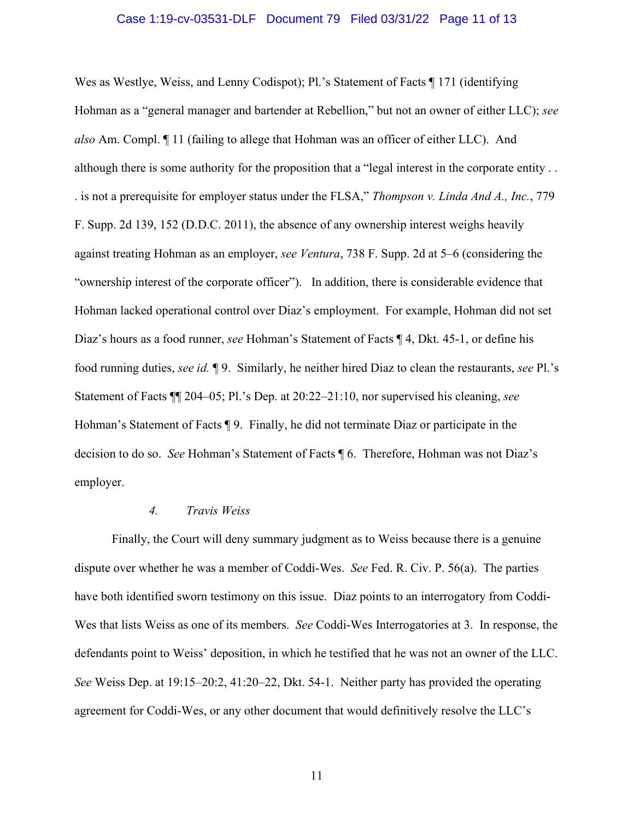### Case 1:19-cv-03531-DLF Document 79 Filed 03/31/22 Page 11 of 13

Wes as Westlye, Weiss, and Lenny Codispot); Pl.'s Statement of Facts  $\P$  171 (identifying Hohman as a "general manager and bartender at Rebellion," but not an owner of either LLC); *see also* Am. Compl. ¶ 11 (failing to allege that Hohman was an officer of either LLC). And although there is some authority for the proposition that a "legal interest in the corporate entity . . . is not a prerequisite for employer status under the FLSA," *Thompson v. Linda And A., Inc.*, 779 F. Supp. 2d 139, 152 (D.D.C. 2011), the absence of any ownership interest weighs heavily against treating Hohman as an employer, *see Ventura*, 738 F. Supp. 2d at 5–6 (considering the "ownership interest of the corporate officer"). In addition, there is considerable evidence that Hohman lacked operational control over Diaz's employment. For example, Hohman did not set Diaz's hours as a food runner, *see* Hohman's Statement of Facts ¶ 4, Dkt. 45-1, or define his food running duties, *see id.* ¶ 9. Similarly, he neither hired Diaz to clean the restaurants, *see* Pl.'s Statement of Facts ¶¶ 204–05; Pl.'s Dep. at 20:22–21:10, nor supervised his cleaning, *see* Hohman's Statement of Facts ¶ 9. Finally, he did not terminate Diaz or participate in the decision to do so. *See* Hohman's Statement of Facts ¶ 6. Therefore, Hohman was not Diaz's employer.

### *4. Travis Weiss*

Finally, the Court will deny summary judgment as to Weiss because there is a genuine dispute over whether he was a member of Coddi-Wes. *See* Fed. R. Civ. P. 56(a). The parties have both identified sworn testimony on this issue. Diaz points to an interrogatory from Coddi-Wes that lists Weiss as one of its members. *See* Coddi-Wes Interrogatories at 3. In response, the defendants point to Weiss' deposition, in which he testified that he was not an owner of the LLC. *See* Weiss Dep. at 19:15–20:2, 41:20–22, Dkt. 54-1. Neither party has provided the operating agreement for Coddi-Wes, or any other document that would definitively resolve the LLC's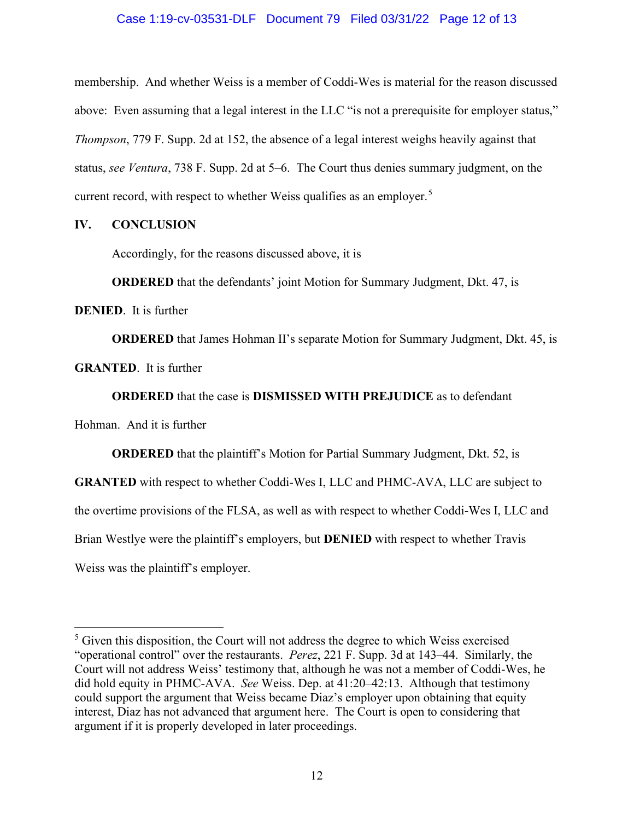## Case 1:19-cv-03531-DLF Document 79 Filed 03/31/22 Page 12 of 13

membership. And whether Weiss is a member of Coddi-Wes is material for the reason discussed above: Even assuming that a legal interest in the LLC "is not a prerequisite for employer status," *Thompson*, 779 F. Supp. 2d at 152, the absence of a legal interest weighs heavily against that status, *see Ventura*, 738 F. Supp. 2d at 5–6. The Court thus denies summary judgment, on the current record, with respect to whether Weiss qualifies as an employer.<sup>5</sup>

## **IV. CONCLUSION**

Accordingly, for the reasons discussed above, it is

**ORDERED** that the defendants' joint Motion for Summary Judgment, Dkt. 47, is

**DENIED**. It is further

**ORDERED** that James Hohman II's separate Motion for Summary Judgment, Dkt. 45, is

**GRANTED**. It is further

**ORDERED** that the case is **DISMISSED WITH PREJUDICE** as to defendant

Hohman. And it is further

**ORDERED** that the plaintiff's Motion for Partial Summary Judgment, Dkt. 52, is **GRANTED** with respect to whether Coddi-Wes I, LLC and PHMC-AVA, LLC are subject to the overtime provisions of the FLSA, as well as with respect to whether Coddi-Wes I, LLC and Brian Westlye were the plaintiff's employers, but **DENIED** with respect to whether Travis Weiss was the plaintiff's employer.

<sup>&</sup>lt;sup>5</sup> Given this disposition, the Court will not address the degree to which Weiss exercised "operational control" over the restaurants. *Perez*, 221 F. Supp. 3d at 143–44. Similarly, the Court will not address Weiss' testimony that, although he was not a member of Coddi-Wes, he did hold equity in PHMC-AVA. *See* Weiss. Dep. at 41:20–42:13. Although that testimony could support the argument that Weiss became Diaz's employer upon obtaining that equity interest, Diaz has not advanced that argument here. The Court is open to considering that argument if it is properly developed in later proceedings.